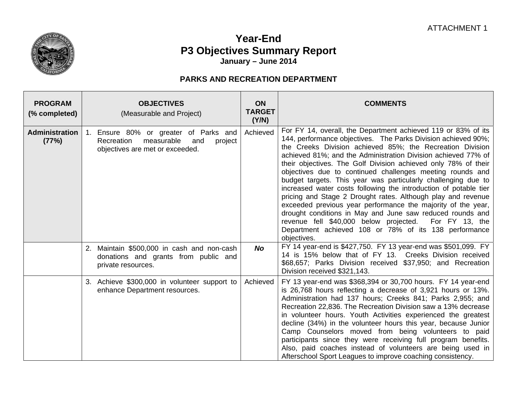

## **Year-End P3 Objectives Summary Report January – June 2014**

## **PARKS AND RECREATION DEPARTMENT**

| <b>PROGRAM</b><br>(% completed) | <b>OBJECTIVES</b><br>(Measurable and Project)                                                                          | <b>ON</b><br><b>TARGET</b><br>(Y/N) | <b>COMMENTS</b>                                                                                                                                                                                                                                                                                                                                                                                                                                                                                                                                                                                                                                                                                                                                                                                                                                                   |
|---------------------------------|------------------------------------------------------------------------------------------------------------------------|-------------------------------------|-------------------------------------------------------------------------------------------------------------------------------------------------------------------------------------------------------------------------------------------------------------------------------------------------------------------------------------------------------------------------------------------------------------------------------------------------------------------------------------------------------------------------------------------------------------------------------------------------------------------------------------------------------------------------------------------------------------------------------------------------------------------------------------------------------------------------------------------------------------------|
| <b>Administration</b><br>(77%)  | 1. Ensure 80% or greater of Parks and<br>measurable<br>Recreation<br>and<br>project<br>objectives are met or exceeded. | Achieved                            | For FY 14, overall, the Department achieved 119 or 83% of its<br>144, performance objectives. The Parks Division achieved 90%;<br>the Creeks Division achieved 85%; the Recreation Division<br>achieved 81%; and the Administration Division achieved 77% of<br>their objectives. The Golf Division achieved only 78% of their<br>objectives due to continued challenges meeting rounds and<br>budget targets. This year was particularly challenging due to<br>increased water costs following the introduction of potable tier<br>pricing and Stage 2 Drought rates. Although play and revenue<br>exceeded previous year performance the majority of the year,<br>drought conditions in May and June saw reduced rounds and<br>revenue fell \$40,000 below projected.<br>For FY 13, the<br>Department achieved 108 or 78% of its 138 performance<br>objectives. |
|                                 | 2. Maintain \$500,000 in cash and non-cash<br>donations and grants from public and<br>private resources.               | No.                                 | FY 14 year-end is \$427,750. FY 13 year-end was \$501,099. FY<br>14 is 15% below that of FY 13. Creeks Division received<br>\$68,657; Parks Division received \$37,950; and Recreation<br>Division received \$321,143.                                                                                                                                                                                                                                                                                                                                                                                                                                                                                                                                                                                                                                            |
|                                 | 3. Achieve \$300,000 in volunteer support to<br>enhance Department resources.                                          | Achieved                            | FY 13 year-end was \$368,394 or 30,700 hours. FY 14 year-end<br>is 26,768 hours reflecting a decrease of 3,921 hours or 13%.<br>Administration had 137 hours; Creeks 841; Parks 2,955; and<br>Recreation 22,836. The Recreation Division saw a 13% decrease<br>in volunteer hours. Youth Activities experienced the greatest<br>decline (34%) in the volunteer hours this year, because Junior<br>Camp Counselors moved from being volunteers to paid<br>participants since they were receiving full program benefits.<br>Also, paid coaches instead of volunteers are being used in<br>Afterschool Sport Leagues to improve coaching consistency.                                                                                                                                                                                                                |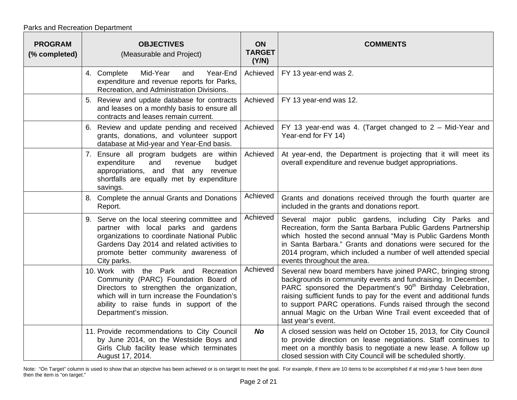| <b>PROGRAM</b><br>(% completed) | <b>OBJECTIVES</b><br>(Measurable and Project)                                                                                                                                                                                                   | <b>ON</b><br><b>TARGET</b><br>(Y/N) | <b>COMMENTS</b>                                                                                                                                                                                                                                                                                                                                                                                                                  |
|---------------------------------|-------------------------------------------------------------------------------------------------------------------------------------------------------------------------------------------------------------------------------------------------|-------------------------------------|----------------------------------------------------------------------------------------------------------------------------------------------------------------------------------------------------------------------------------------------------------------------------------------------------------------------------------------------------------------------------------------------------------------------------------|
|                                 | Mid-Year<br>Year-End<br>4. Complete<br>and<br>expenditure and revenue reports for Parks,<br>Recreation, and Administration Divisions.                                                                                                           | Achieved                            | FY 13 year-end was 2.                                                                                                                                                                                                                                                                                                                                                                                                            |
|                                 | 5. Review and update database for contracts<br>and leases on a monthly basis to ensure all<br>contracts and leases remain current.                                                                                                              | Achieved                            | FY 13 year-end was 12.                                                                                                                                                                                                                                                                                                                                                                                                           |
|                                 | 6. Review and update pending and received<br>grants, donations, and volunteer support<br>database at Mid-year and Year-End basis.                                                                                                               | Achieved                            | FY 13 year-end was 4. (Target changed to $2 -$ Mid-Year and<br>Year-end for FY 14)                                                                                                                                                                                                                                                                                                                                               |
|                                 | 7. Ensure all program budgets are within<br>expenditure<br>and<br>budget<br>revenue<br>appropriations, and<br>that any revenue<br>shortfalls are equally met by expenditure<br>savings.                                                         | Achieved                            | At year-end, the Department is projecting that it will meet its<br>overall expenditure and revenue budget appropriations.                                                                                                                                                                                                                                                                                                        |
|                                 | 8. Complete the annual Grants and Donations<br>Report.                                                                                                                                                                                          | Achieved                            | Grants and donations received through the fourth quarter are<br>included in the grants and donations report.                                                                                                                                                                                                                                                                                                                     |
|                                 | 9. Serve on the local steering committee and<br>partner with local parks and gardens<br>organizations to coordinate National Public<br>Gardens Day 2014 and related activities to<br>promote better community awareness of<br>City parks.       | Achieved                            | Several major public gardens, including City Parks and<br>Recreation, form the Santa Barbara Public Gardens Partnership<br>which hosted the second annual "May is Public Gardens Month<br>in Santa Barbara." Grants and donations were secured for the<br>2014 program, which included a number of well attended special<br>events throughout the area.                                                                          |
|                                 | 10. Work with the Park and Recreation<br>Community (PARC) Foundation Board of<br>Directors to strengthen the organization,<br>which will in turn increase the Foundation's<br>ability to raise funds in support of the<br>Department's mission. | Achieved                            | Several new board members have joined PARC, bringing strong<br>backgrounds in community events and fundraising. In December,<br>PARC sponsored the Department's 90 <sup>th</sup> Birthday Celebration,<br>raising sufficient funds to pay for the event and additional funds<br>to support PARC operations. Funds raised through the second<br>annual Magic on the Urban Wine Trail event exceeded that of<br>last year's event. |
|                                 | 11. Provide recommendations to City Council<br>by June 2014, on the Westside Boys and<br>Girls Club facility lease which terminates<br>August 17, 2014.                                                                                         | <b>No</b>                           | A closed session was held on October 15, 2013, for City Council<br>to provide direction on lease negotiations. Staff continues to<br>meet on a monthly basis to negotiate a new lease. A follow up<br>closed session with City Council will be scheduled shortly.                                                                                                                                                                |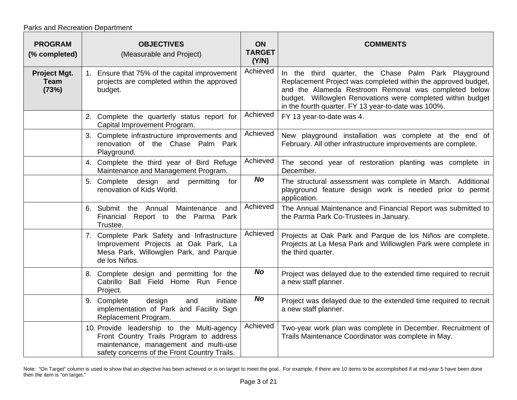|  | Parks and Recreation Department |
|--|---------------------------------|
|--|---------------------------------|

| <b>PROGRAM</b><br>(% completed)      | <b>OBJECTIVES</b><br>(Measurable and Project)                                                                                                                                  | <b>ON</b><br><b>TARGET</b><br>(Y/N) | <b>COMMENTS</b>                                                                                                                                                                                                                                                                                     |
|--------------------------------------|--------------------------------------------------------------------------------------------------------------------------------------------------------------------------------|-------------------------------------|-----------------------------------------------------------------------------------------------------------------------------------------------------------------------------------------------------------------------------------------------------------------------------------------------------|
| Project Mgt.<br><b>Team</b><br>(73%) | 1. Ensure that 75% of the capital improvement<br>projects are completed within the approved<br>budget.                                                                         | Achieved                            | In the third quarter, the Chase Palm Park Playground<br>Replacement Project was completed within the approved budget,<br>and the Alameda Restroom Removal was completed below<br>budget. Willowglen Renovations were completed within budget<br>in the fourth quarter. FY 13 year-to-date was 100%. |
|                                      | 2. Complete the quarterly status report for<br>Capital Improvement Program.                                                                                                    | Achieved                            | FY 13 year-to-date was 4.                                                                                                                                                                                                                                                                           |
|                                      | 3. Complete infrastructure improvements and<br>renovation of the Chase Palm Park<br>Playground.                                                                                | Achieved                            | New playground installation was complete at the end of<br>February. All other infrastructure improvements are complete.                                                                                                                                                                             |
|                                      | 4. Complete the third year of Bird Refuge<br>Maintenance and Management Program.                                                                                               | Achieved                            | The second year of restoration planting was complete in<br>December.                                                                                                                                                                                                                                |
|                                      | 5. Complete design and<br>permitting<br>for<br>renovation of Kids World.                                                                                                       | <b>No</b>                           | The structural assessment was complete in March. Additional<br>playground feature design work is needed prior to permit<br>application.                                                                                                                                                             |
|                                      | 6. Submit the Annual<br>Maintenance<br>and<br>Financial Report to the Parma Park<br>Trustee.                                                                                   | Achieved                            | The Annual Maintenance and Financial Report was submitted to<br>the Parma Park Co-Trustees in January.                                                                                                                                                                                              |
|                                      | 7. Complete Park Safety and Infrastructure<br>Improvement Projects at Oak Park, La<br>Mesa Park, Willowglen Park, and Parque<br>de los Niños.                                  | Achieved                            | Projects at Oak Park and Parque de los Niños are complete.<br>Projects at La Mesa Park and Willowglen Park were complete in<br>the third quarter.                                                                                                                                                   |
|                                      | 8. Complete design and permitting for the<br>Cabrillo Ball Field Home Run Fence<br>Project.                                                                                    | <b>No</b>                           | Project was delayed due to the extended time required to recruit<br>a new staff planner.                                                                                                                                                                                                            |
|                                      | design<br>initiate<br>9. Complete<br>and<br>implementation of Park and Facility Sign<br>Replacement Program.                                                                   | <b>No</b>                           | Project was delayed due to the extended time required to recruit<br>a new staff planner.                                                                                                                                                                                                            |
|                                      | 10. Provide leadership to the Multi-agency<br>Front Country Trails Program to address<br>maintenance, management and multi-use<br>safety concerns of the Front Country Trails. | Achieved                            | Two-year work plan was complete in December. Recruitment of<br>Trails Maintenance Coordinator was complete in May.                                                                                                                                                                                  |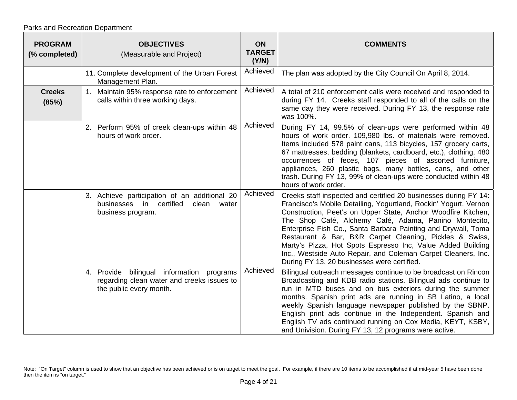| <b>PROGRAM</b><br>(% completed) | <b>OBJECTIVES</b><br>(Measurable and Project)                                                                      | <b>ON</b><br><b>TARGET</b><br>(Y/N) | <b>COMMENTS</b>                                                                                                                                                                                                                                                                                                                                                                                                                                                                                                                                                           |
|---------------------------------|--------------------------------------------------------------------------------------------------------------------|-------------------------------------|---------------------------------------------------------------------------------------------------------------------------------------------------------------------------------------------------------------------------------------------------------------------------------------------------------------------------------------------------------------------------------------------------------------------------------------------------------------------------------------------------------------------------------------------------------------------------|
|                                 | 11. Complete development of the Urban Forest<br>Management Plan.                                                   | Achieved                            | The plan was adopted by the City Council On April 8, 2014.                                                                                                                                                                                                                                                                                                                                                                                                                                                                                                                |
| <b>Creeks</b><br>(85%)          | Maintain 95% response rate to enforcement<br>1.<br>calls within three working days.                                | Achieved                            | A total of 210 enforcement calls were received and responded to<br>during FY 14. Creeks staff responded to all of the calls on the<br>same day they were received. During FY 13, the response rate<br>was 100%.                                                                                                                                                                                                                                                                                                                                                           |
|                                 | 2. Perform 95% of creek clean-ups within 48<br>hours of work order.                                                | Achieved                            | During FY 14, 99.5% of clean-ups were performed within 48<br>hours of work order. 109,980 lbs. of materials were removed.<br>Items included 578 paint cans, 113 bicycles, 157 grocery carts,<br>67 mattresses, bedding (blankets, cardboard, etc.), clothing, 480<br>occurrences of feces, 107 pieces of assorted furniture,<br>appliances, 260 plastic bags, many bottles, cans, and other<br>trash. During FY 13, 99% of clean-ups were conducted within 48<br>hours of work order.                                                                                     |
|                                 | 3. Achieve participation of an additional 20<br>businesses in certified<br>clean<br>water<br>business program.     | Achieved                            | Creeks staff inspected and certified 20 businesses during FY 14:<br>Francisco's Mobile Detailing, Yogurtland, Rockin' Yogurt, Vernon<br>Construction, Peet's on Upper State, Anchor Woodfire Kitchen,<br>The Shop Café, Alchemy Café, Adama, Panino Montecito,<br>Enterprise Fish Co., Santa Barbara Painting and Drywall, Toma<br>Restaurant & Bar, B&R Carpet Cleaning, Pickles & Swiss,<br>Marty's Pizza, Hot Spots Espresso Inc, Value Added Building<br>Inc., Westside Auto Repair, and Coleman Carpet Cleaners, Inc.<br>During FY 13, 20 businesses were certified. |
|                                 | 4. Provide bilingual information programs<br>regarding clean water and creeks issues to<br>the public every month. | Achieved                            | Bilingual outreach messages continue to be broadcast on Rincon<br>Broadcasting and KDB radio stations. Bilingual ads continue to<br>run in MTD buses and on bus exteriors during the summer<br>months. Spanish print ads are running in SB Latino, a local<br>weekly Spanish language newspaper published by the SBNP.<br>English print ads continue in the Independent. Spanish and<br>English TV ads continued running on Cox Media, KEYT, KSBY,<br>and Univision. During FY 13, 12 programs were active.                                                               |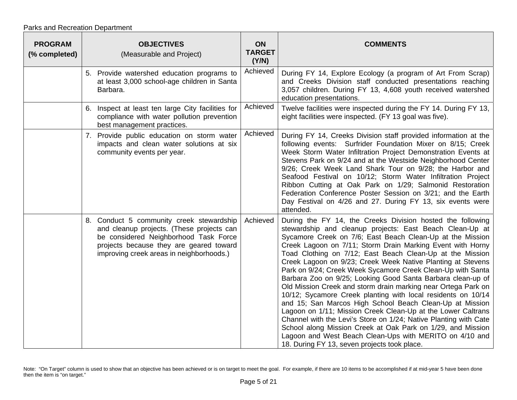Parks and Recreation Department

| <b>PROGRAM</b><br>(% completed) | <b>OBJECTIVES</b><br>(Measurable and Project)                                                                                                                                                                         | ON<br><b>TARGET</b><br>(Y/N) | <b>COMMENTS</b>                                                                                                                                                                                                                                                                                                                                                                                                                                                                                                                                                                                                                                                                                                                                                                                                                                                                                                                                                                                                        |
|---------------------------------|-----------------------------------------------------------------------------------------------------------------------------------------------------------------------------------------------------------------------|------------------------------|------------------------------------------------------------------------------------------------------------------------------------------------------------------------------------------------------------------------------------------------------------------------------------------------------------------------------------------------------------------------------------------------------------------------------------------------------------------------------------------------------------------------------------------------------------------------------------------------------------------------------------------------------------------------------------------------------------------------------------------------------------------------------------------------------------------------------------------------------------------------------------------------------------------------------------------------------------------------------------------------------------------------|
|                                 | 5. Provide watershed education programs to<br>at least 3,000 school-age children in Santa<br>Barbara.                                                                                                                 | Achieved                     | During FY 14, Explore Ecology (a program of Art From Scrap)<br>and Creeks Division staff conducted presentations reaching<br>3,057 children. During FY 13, 4,608 youth received watershed<br>education presentations.                                                                                                                                                                                                                                                                                                                                                                                                                                                                                                                                                                                                                                                                                                                                                                                                  |
|                                 | 6. Inspect at least ten large City facilities for<br>compliance with water pollution prevention<br>best management practices.                                                                                         | Achieved                     | Twelve facilities were inspected during the FY 14. During FY 13,<br>eight facilities were inspected. (FY 13 goal was five).                                                                                                                                                                                                                                                                                                                                                                                                                                                                                                                                                                                                                                                                                                                                                                                                                                                                                            |
|                                 | 7. Provide public education on storm water<br>impacts and clean water solutions at six<br>community events per year.                                                                                                  | Achieved                     | During FY 14, Creeks Division staff provided information at the<br>following events: Surfrider Foundation Mixer on 8/15; Creek<br>Week Storm Water Infiltration Project Demonstration Events at<br>Stevens Park on 9/24 and at the Westside Neighborhood Center<br>9/26; Creek Week Land Shark Tour on 9/28; the Harbor and<br>Seafood Festival on 10/12; Storm Water Infiltration Project<br>Ribbon Cutting at Oak Park on 1/29; Salmonid Restoration<br>Federation Conference Poster Session on 3/21; and the Earth<br>Day Festival on 4/26 and 27. During FY 13, six events were<br>attended.                                                                                                                                                                                                                                                                                                                                                                                                                       |
|                                 | 8. Conduct 5 community creek stewardship<br>and cleanup projects. (These projects can<br>be considered Neighborhood Task Force<br>projects because they are geared toward<br>improving creek areas in neighborhoods.) | Achieved                     | During the FY 14, the Creeks Division hosted the following<br>stewardship and cleanup projects: East Beach Clean-Up at<br>Sycamore Creek on 7/6; East Beach Clean-Up at the Mission<br>Creek Lagoon on 7/11; Storm Drain Marking Event with Horny<br>Toad Clothing on 7/12; East Beach Clean-Up at the Mission<br>Creek Lagoon on 9/23; Creek Week Native Planting at Stevens<br>Park on 9/24; Creek Week Sycamore Creek Clean-Up with Santa<br>Barbara Zoo on 9/25; Looking Good Santa Barbara clean-up of<br>Old Mission Creek and storm drain marking near Ortega Park on<br>10/12; Sycamore Creek planting with local residents on 10/14<br>and 15; San Marcos High School Beach Clean-Up at Mission<br>Lagoon on 1/11; Mission Creek Clean-Up at the Lower Caltrans<br>Channel with the Levi's Store on 1/24; Native Planting with Cate<br>School along Mission Creek at Oak Park on 1/29, and Mission<br>Lagoon and West Beach Clean-Ups with MERITO on 4/10 and<br>18. During FY 13, seven projects took place. |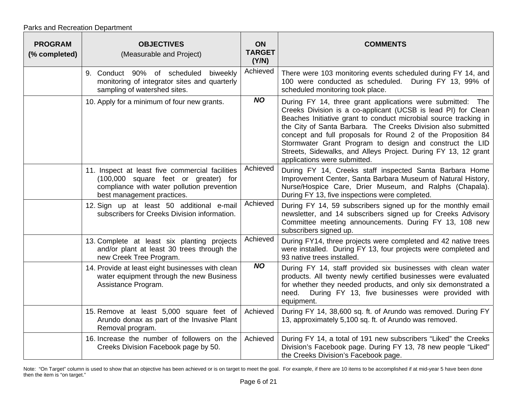| <b>PROGRAM</b><br>(% completed) | <b>OBJECTIVES</b><br>(Measurable and Project)                                                                                                                       | ON<br><b>TARGET</b><br>(Y/N) | <b>COMMENTS</b>                                                                                                                                                                                                                                                                                                                                                                                                                                                                                |
|---------------------------------|---------------------------------------------------------------------------------------------------------------------------------------------------------------------|------------------------------|------------------------------------------------------------------------------------------------------------------------------------------------------------------------------------------------------------------------------------------------------------------------------------------------------------------------------------------------------------------------------------------------------------------------------------------------------------------------------------------------|
|                                 | 9. Conduct 90% of scheduled<br>biweekly<br>monitoring of integrator sites and quarterly<br>sampling of watershed sites.                                             | Achieved                     | There were 103 monitoring events scheduled during FY 14, and<br>100 were conducted as scheduled.<br>During FY 13, 99% of<br>scheduled monitoring took place.                                                                                                                                                                                                                                                                                                                                   |
|                                 | 10. Apply for a minimum of four new grants.                                                                                                                         | <b>NO</b>                    | During FY 14, three grant applications were submitted: The<br>Creeks Division is a co-applicant (UCSB is lead PI) for Clean<br>Beaches Initiative grant to conduct microbial source tracking in<br>the City of Santa Barbara. The Creeks Division also submitted<br>concept and full proposals for Round 2 of the Proposition 84<br>Stormwater Grant Program to design and construct the LID<br>Streets, Sidewalks, and Alleys Project. During FY 13, 12 grant<br>applications were submitted. |
|                                 | 11. Inspect at least five commercial facilities<br>(100,000 square feet or greater) for<br>compliance with water pollution prevention<br>best management practices. | Achieved                     | During FY 14, Creeks staff inspected Santa Barbara Home<br>Improvement Center, Santa Barbara Museum of Natural History,<br>Nurse/Hospice Care, Drier Museum, and Ralphs (Chapala).<br>During FY 13, five inspections were completed.                                                                                                                                                                                                                                                           |
|                                 | 12. Sign up at least 50 additional e-mail<br>subscribers for Creeks Division information.                                                                           | Achieved                     | During FY 14, 59 subscribers signed up for the monthly email<br>newsletter, and 14 subscribers signed up for Creeks Advisory<br>Committee meeting announcements. During FY 13, 108 new<br>subscribers signed up.                                                                                                                                                                                                                                                                               |
|                                 | 13. Complete at least six planting projects<br>and/or plant at least 30 trees through the<br>new Creek Tree Program.                                                | Achieved                     | During FY14, three projects were completed and 42 native trees<br>were installed. During FY 13, four projects were completed and<br>93 native trees installed.                                                                                                                                                                                                                                                                                                                                 |
|                                 | 14. Provide at least eight businesses with clean<br>water equipment through the new Business<br>Assistance Program.                                                 | <b>NO</b>                    | During FY 14, staff provided six businesses with clean water<br>products. All twenty newly certified businesses were evaluated<br>for whether they needed products, and only six demonstrated a<br>During FY 13, five businesses were provided with<br>need.<br>equipment.                                                                                                                                                                                                                     |
|                                 | 15. Remove at least 5,000 square feet of<br>Arundo donax as part of the Invasive Plant<br>Removal program.                                                          | Achieved                     | During FY 14, 38,600 sq. ft. of Arundo was removed. During FY<br>13, approximately 5,100 sq. ft. of Arundo was removed.                                                                                                                                                                                                                                                                                                                                                                        |
|                                 | 16. Increase the number of followers on the<br>Creeks Division Facebook page by 50.                                                                                 | Achieved                     | During FY 14, a total of 191 new subscribers "Liked" the Creeks<br>Division's Facebook page. During FY 13, 78 new people "Liked"<br>the Creeks Division's Facebook page.                                                                                                                                                                                                                                                                                                                       |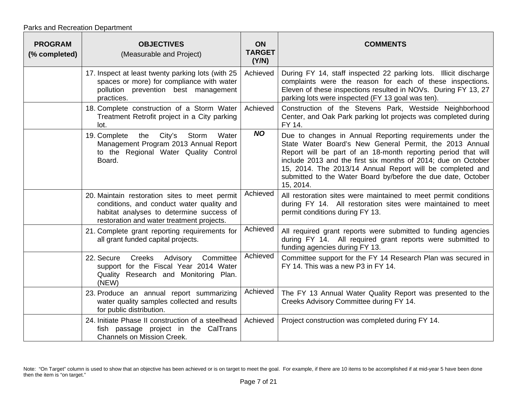Parks and Recreation Department

| <b>PROGRAM</b><br>(% completed) | <b>OBJECTIVES</b><br>(Measurable and Project)                                                                                                                                       | <b>ON</b><br><b>TARGET</b><br>(Y/N) | <b>COMMENTS</b>                                                                                                                                                                                                                                                                                                                                                                                  |
|---------------------------------|-------------------------------------------------------------------------------------------------------------------------------------------------------------------------------------|-------------------------------------|--------------------------------------------------------------------------------------------------------------------------------------------------------------------------------------------------------------------------------------------------------------------------------------------------------------------------------------------------------------------------------------------------|
|                                 | 17. Inspect at least twenty parking lots (with 25<br>spaces or more) for compliance with water<br>pollution prevention best management<br>practices.                                | Achieved                            | During FY 14, staff inspected 22 parking lots. Illicit discharge<br>complaints were the reason for each of these inspections.<br>Eleven of these inspections resulted in NOVs. During FY 13, 27<br>parking lots were inspected (FY 13 goal was ten).                                                                                                                                             |
|                                 | 18. Complete construction of a Storm Water<br>Treatment Retrofit project in a City parking<br>lot.                                                                                  | Achieved                            | Construction of the Stevens Park, Westside Neighborhood<br>Center, and Oak Park parking lot projects was completed during<br>FY 14.                                                                                                                                                                                                                                                              |
|                                 | City's<br>Water<br>19. Complete<br>the<br>Storm<br>Management Program 2013 Annual Report<br>to the Regional Water Quality Control<br>Board.                                         | <b>NO</b>                           | Due to changes in Annual Reporting requirements under the<br>State Water Board's New General Permit, the 2013 Annual<br>Report will be part of an 18-month reporting period that will<br>include 2013 and the first six months of 2014; due on October<br>15, 2014. The 2013/14 Annual Report will be completed and<br>submitted to the Water Board by/before the due date, October<br>15, 2014. |
|                                 | 20. Maintain restoration sites to meet permit<br>conditions, and conduct water quality and<br>habitat analyses to determine success of<br>restoration and water treatment projects. | Achieved                            | All restoration sites were maintained to meet permit conditions<br>during FY 14. All restoration sites were maintained to meet<br>permit conditions during FY 13.                                                                                                                                                                                                                                |
|                                 | 21. Complete grant reporting requirements for<br>all grant funded capital projects.                                                                                                 | Achieved                            | All required grant reports were submitted to funding agencies<br>during FY 14. All required grant reports were submitted to<br>funding agencies during FY 13.                                                                                                                                                                                                                                    |
|                                 | 22. Secure<br>Creeks<br>Advisory<br>Committee<br>support for the Fiscal Year 2014 Water<br>Quality Research and Monitoring Plan.<br>(NEW)                                           | Achieved                            | Committee support for the FY 14 Research Plan was secured in<br>FY 14. This was a new P3 in FY 14.                                                                                                                                                                                                                                                                                               |
|                                 | 23. Produce an annual report summarizing<br>water quality samples collected and results<br>for public distribution.                                                                 | Achieved                            | The FY 13 Annual Water Quality Report was presented to the<br>Creeks Advisory Committee during FY 14.                                                                                                                                                                                                                                                                                            |
|                                 | 24. Initiate Phase II construction of a steelhead<br>fish passage project in the CalTrans<br><b>Channels on Mission Creek.</b>                                                      | Achieved                            | Project construction was completed during FY 14.                                                                                                                                                                                                                                                                                                                                                 |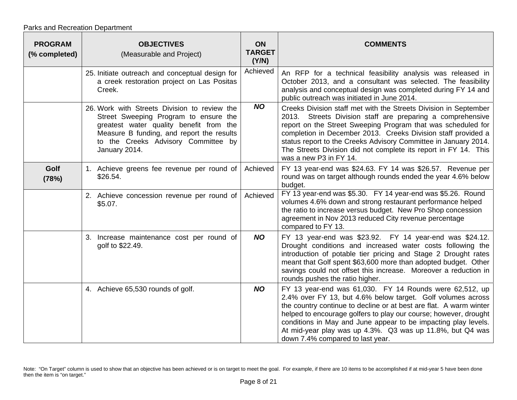| <b>PROGRAM</b><br>(% completed) | <b>OBJECTIVES</b><br>(Measurable and Project)                                                                                                                                                                                         | ON<br><b>TARGET</b><br>(Y/N) | <b>COMMENTS</b>                                                                                                                                                                                                                                                                                                                                                                                                                     |
|---------------------------------|---------------------------------------------------------------------------------------------------------------------------------------------------------------------------------------------------------------------------------------|------------------------------|-------------------------------------------------------------------------------------------------------------------------------------------------------------------------------------------------------------------------------------------------------------------------------------------------------------------------------------------------------------------------------------------------------------------------------------|
|                                 | 25. Initiate outreach and conceptual design for<br>a creek restoration project on Las Positas<br>Creek.                                                                                                                               | Achieved                     | An RFP for a technical feasibility analysis was released in<br>October 2013, and a consultant was selected. The feasibility<br>analysis and conceptual design was completed during FY 14 and<br>public outreach was initiated in June 2014.                                                                                                                                                                                         |
|                                 | 26. Work with Streets Division to review the<br>Street Sweeping Program to ensure the<br>greatest water quality benefit from the<br>Measure B funding, and report the results<br>to the Creeks Advisory Committee by<br>January 2014. | <b>NO</b>                    | Creeks Division staff met with the Streets Division in September<br>2013. Streets Division staff are preparing a comprehensive<br>report on the Street Sweeping Program that was scheduled for<br>completion in December 2013. Creeks Division staff provided a<br>status report to the Creeks Advisory Committee in January 2014.<br>The Streets Division did not complete its report in FY 14. This<br>was a new P3 in FY 14.     |
| Golf<br>(78%)                   | 1. Achieve greens fee revenue per round of<br>\$26.54.                                                                                                                                                                                | Achieved                     | FY 13 year-end was \$24.63. FY 14 was \$26.57. Revenue per<br>round was on target although rounds ended the year 4.6% below<br>budget.                                                                                                                                                                                                                                                                                              |
|                                 | 2. Achieve concession revenue per round of<br>\$5.07.                                                                                                                                                                                 | Achieved                     | FY 13 year-end was \$5.30. FY 14 year-end was \$5.26. Round<br>volumes 4.6% down and strong restaurant performance helped<br>the ratio to increase versus budget. New Pro Shop concession<br>agreement in Nov 2013 reduced City revenue percentage<br>compared to FY 13.                                                                                                                                                            |
|                                 | 3. Increase maintenance cost per round of<br>golf to \$22.49.                                                                                                                                                                         | <b>NO</b>                    | FY 13 year-end was \$23.92. FY 14 year-end was \$24.12.<br>Drought conditions and increased water costs following the<br>introduction of potable tier pricing and Stage 2 Drought rates<br>meant that Golf spent \$63,600 more than adopted budget. Other<br>savings could not offset this increase. Moreover a reduction in<br>rounds pushes the ratio higher.                                                                     |
|                                 | 4. Achieve 65,530 rounds of golf.                                                                                                                                                                                                     | <b>NO</b>                    | FY 13 year-end was 61,030. FY 14 Rounds were 62,512, up<br>2.4% over FY 13, but 4.6% below target. Golf volumes across<br>the country continue to decline or at best are flat. A warm winter<br>helped to encourage golfers to play our course; however, drought<br>conditions in May and June appear to be impacting play levels.<br>At mid-year play was up 4.3%. Q3 was up 11.8%, but Q4 was<br>down 7.4% compared to last year. |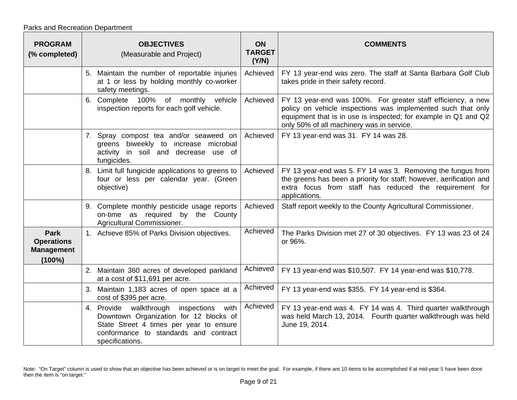Parks and Recreation Department

| <b>PROGRAM</b><br>(% completed)                                    | <b>OBJECTIVES</b><br>(Measurable and Project)                                                                                                                                            | <b>ON</b><br><b>TARGET</b><br>(Y/N) | <b>COMMENTS</b>                                                                                                                                                                                                                              |
|--------------------------------------------------------------------|------------------------------------------------------------------------------------------------------------------------------------------------------------------------------------------|-------------------------------------|----------------------------------------------------------------------------------------------------------------------------------------------------------------------------------------------------------------------------------------------|
|                                                                    | 5. Maintain the number of reportable injuries<br>at 1 or less by holding monthly co-worker<br>safety meetings.                                                                           | Achieved                            | FY 13 year-end was zero. The staff at Santa Barbara Golf Club<br>takes pride in their safety record.                                                                                                                                         |
|                                                                    | 100% of monthly vehicle<br>6. Complete<br>inspection reports for each golf vehicle.                                                                                                      | Achieved                            | FY 13 year-end was 100%. For greater staff efficiency, a new<br>policy on vehicle inspections was implemented such that only<br>equipment that is in use is inspected; for example in Q1 and Q2<br>only 50% of all machinery was in service. |
|                                                                    | 7. Spray compost tea and/or seaweed on<br>greens biweekly to increase microbial<br>activity in soil and decrease use of<br>fungicides.                                                   | Achieved                            | FY 13 year-end was 31. FY 14 was 28.                                                                                                                                                                                                         |
|                                                                    | 8. Limit full fungicide applications to greens to<br>four or less per calendar year. (Green<br>objective)                                                                                | Achieved                            | FY 13 year-end was 5. FY 14 was 3. Removing the fungus from<br>the greens has been a priority for staff; however, aerification and<br>extra focus from staff has reduced the requirement for<br>applications.                                |
|                                                                    | 9. Complete monthly pesticide usage reports<br>on-time as required by the County<br>Agricultural Commissioner.                                                                           | Achieved                            | Staff report weekly to the County Agricultural Commissioner.                                                                                                                                                                                 |
| <b>Park</b><br><b>Operations</b><br><b>Management</b><br>$(100\%)$ | 1. Achieve 85% of Parks Division objectives.                                                                                                                                             | Achieved                            | The Parks Division met 27 of 30 objectives. FY 13 was 23 of 24<br>or 96%.                                                                                                                                                                    |
|                                                                    | 2. Maintain 360 acres of developed parkland<br>at a cost of \$11,691 per acre.                                                                                                           | Achieved                            | FY 13 year-end was \$10,507. FY 14 year-end was \$10,778.                                                                                                                                                                                    |
|                                                                    | 3. Maintain 1,183 acres of open space at a<br>cost of \$395 per acre.                                                                                                                    | Achieved                            | FY 13 year-end was \$355. FY 14 year-end is \$364.                                                                                                                                                                                           |
|                                                                    | 4. Provide walkthrough inspections with<br>Downtown Organization for 12 blocks of<br>State Street 4 times per year to ensure<br>conformance to standards and contract<br>specifications. | Achieved                            | FY 13 year-end was 4. FY 14 was 4. Third quarter walkthrough<br>was held March 13, 2014. Fourth quarter walkthrough was held<br>June 19, 2014.                                                                                               |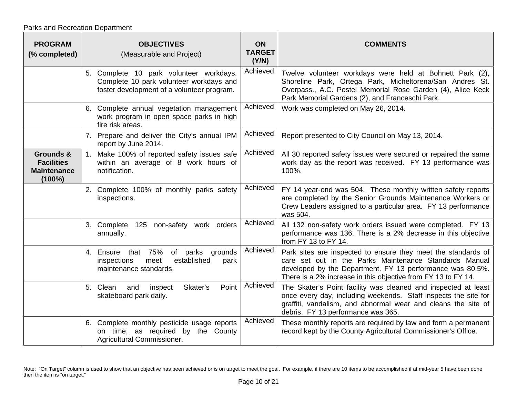| <b>PROGRAM</b><br>(% completed)                                   | <b>OBJECTIVES</b><br>(Measurable and Project)                                                                                    | <b>ON</b><br><b>TARGET</b><br>(Y/N) | <b>COMMENTS</b>                                                                                                                                                                                                                                       |
|-------------------------------------------------------------------|----------------------------------------------------------------------------------------------------------------------------------|-------------------------------------|-------------------------------------------------------------------------------------------------------------------------------------------------------------------------------------------------------------------------------------------------------|
|                                                                   | 5. Complete 10 park volunteer workdays.<br>Complete 10 park volunteer workdays and<br>foster development of a volunteer program. | Achieved                            | Twelve volunteer workdays were held at Bohnett Park (2),<br>Shoreline Park, Ortega Park, Micheltorena/San Andres St.<br>Overpass., A.C. Postel Memorial Rose Garden (4), Alice Keck<br>Park Memorial Gardens (2), and Franceschi Park.                |
|                                                                   | 6. Complete annual vegetation management<br>work program in open space parks in high<br>fire risk areas.                         | Achieved                            | Work was completed on May 26, 2014.                                                                                                                                                                                                                   |
|                                                                   | 7. Prepare and deliver the City's annual IPM<br>report by June 2014.                                                             | Achieved                            | Report presented to City Council on May 13, 2014.                                                                                                                                                                                                     |
| Grounds &<br><b>Facilities</b><br><b>Maintenance</b><br>$(100\%)$ | 1. Make 100% of reported safety issues safe<br>within an average of 8 work hours of<br>notification.                             | Achieved                            | All 30 reported safety issues were secured or repaired the same<br>work day as the report was received. FY 13 performance was<br>100%.                                                                                                                |
|                                                                   | 2. Complete 100% of monthly parks safety<br>inspections.                                                                         | Achieved                            | FY 14 year-end was 504. These monthly written safety reports<br>are completed by the Senior Grounds Maintenance Workers or<br>Crew Leaders assigned to a particular area. FY 13 performance<br>was 504.                                               |
|                                                                   | non-safety work orders<br>3. Complete<br>125<br>annually.                                                                        | Achieved                            | All 132 non-safety work orders issued were completed. FY 13<br>performance was 136. There is a 2% decrease in this objective<br>from FY 13 to FY 14.                                                                                                  |
|                                                                   | 4. Ensure that 75%<br>grounds<br>of<br>parks<br>established<br>inspections<br>meet<br>park<br>maintenance standards.             | Achieved                            | Park sites are inspected to ensure they meet the standards of<br>care set out in the Parks Maintenance Standards Manual<br>developed by the Department. FY 13 performance was 80.5%.<br>There is a 2% increase in this objective from FY 13 to FY 14. |
|                                                                   | Point<br>Skater's<br>5. Clean<br>and<br>inspect<br>skateboard park daily.                                                        | Achieved                            | The Skater's Point facility was cleaned and inspected at least<br>once every day, including weekends. Staff inspects the site for<br>graffiti, vandalism, and abnormal wear and cleans the site of<br>debris. FY 13 performance was 365.              |
|                                                                   | 6. Complete monthly pesticide usage reports<br>on time, as required by the County<br>Agricultural Commissioner.                  | Achieved                            | These monthly reports are required by law and form a permanent<br>record kept by the County Agricultural Commissioner's Office.                                                                                                                       |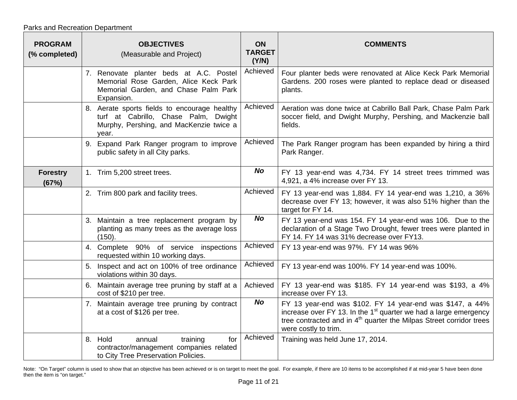| <b>PROGRAM</b><br>(% completed) | <b>OBJECTIVES</b><br>(Measurable and Project)                                                                                            | <b>ON</b><br><b>TARGET</b><br>(Y/N) | <b>COMMENTS</b>                                                                                                                                                                                                                            |
|---------------------------------|------------------------------------------------------------------------------------------------------------------------------------------|-------------------------------------|--------------------------------------------------------------------------------------------------------------------------------------------------------------------------------------------------------------------------------------------|
|                                 | 7. Renovate planter beds at A.C. Postel<br>Memorial Rose Garden, Alice Keck Park<br>Memorial Garden, and Chase Palm Park<br>Expansion.   | Achieved                            | Four planter beds were renovated at Alice Keck Park Memorial<br>Gardens. 200 roses were planted to replace dead or diseased<br>plants.                                                                                                     |
|                                 | 8. Aerate sports fields to encourage healthy<br>turf at Cabrillo, Chase Palm, Dwight<br>Murphy, Pershing, and MacKenzie twice a<br>year. | Achieved                            | Aeration was done twice at Cabrillo Ball Park, Chase Palm Park<br>soccer field, and Dwight Murphy, Pershing, and Mackenzie ball<br>fields.                                                                                                 |
|                                 | 9. Expand Park Ranger program to improve<br>public safety in all City parks.                                                             | Achieved                            | The Park Ranger program has been expanded by hiring a third<br>Park Ranger.                                                                                                                                                                |
| <b>Forestry</b><br>(67%)        | 1. Trim 5,200 street trees.                                                                                                              | <b>No</b>                           | FY 13 year-end was 4,734. FY 14 street trees trimmed was<br>4,921, a 4% increase over FY 13.                                                                                                                                               |
|                                 | 2. Trim 800 park and facility trees.                                                                                                     | Achieved                            | FY 13 year-end was 1,884. FY 14 year-end was 1,210, a 36%<br>decrease over FY 13; however, it was also 51% higher than the<br>target for FY 14.                                                                                            |
|                                 | 3. Maintain a tree replacement program by<br>planting as many trees as the average loss<br>(150).                                        | <b>No</b>                           | FY 13 year-end was 154. FY 14 year-end was 106. Due to the<br>declaration of a Stage Two Drought, fewer trees were planted in<br>FY 14. FY 14 was 31% decrease over FY13.                                                                  |
|                                 | 4. Complete 90% of service inspections<br>requested within 10 working days.                                                              | Achieved                            | FY 13 year-end was 97%. FY 14 was 96%                                                                                                                                                                                                      |
|                                 | 5. Inspect and act on 100% of tree ordinance<br>violations within 30 days.                                                               | Achieved                            | FY 13 year-end was 100%. FY 14 year-end was 100%.                                                                                                                                                                                          |
|                                 | 6. Maintain average tree pruning by staff at a<br>cost of \$210 per tree.                                                                | Achieved                            | FY 13 year-end was \$185. FY 14 year-end was \$193, a 4%<br>increase over FY 13.                                                                                                                                                           |
|                                 | 7. Maintain average tree pruning by contract<br>at a cost of \$126 per tree.                                                             | <b>No</b>                           | FY 13 year-end was \$102. FY 14 year-end was \$147, a 44%<br>increase over FY 13. In the $1st$ quarter we had a large emergency<br>tree contracted and in 4 <sup>th</sup> quarter the Milpas Street corridor trees<br>were costly to trim. |
|                                 | 8. Hold<br>annual<br>training<br>for<br>contractor/management companies related<br>to City Tree Preservation Policies.                   | Achieved                            | Training was held June 17, 2014.                                                                                                                                                                                                           |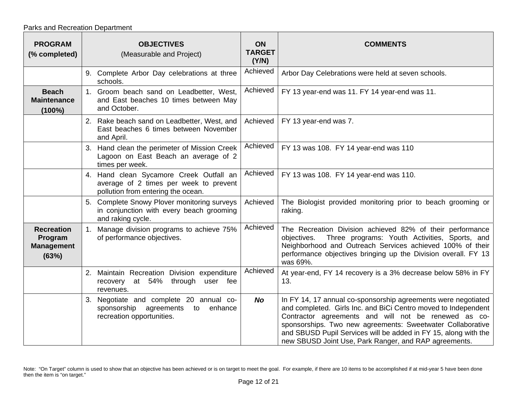| <b>PROGRAM</b><br>(% completed)                            |    | <b>OBJECTIVES</b><br>(Measurable and Project)                                                                           | ON<br><b>TARGET</b><br>(Y/N) | <b>COMMENTS</b>                                                                                                                                                                                                                                                                                                                                                                   |
|------------------------------------------------------------|----|-------------------------------------------------------------------------------------------------------------------------|------------------------------|-----------------------------------------------------------------------------------------------------------------------------------------------------------------------------------------------------------------------------------------------------------------------------------------------------------------------------------------------------------------------------------|
|                                                            |    | 9. Complete Arbor Day celebrations at three<br>schools.                                                                 | Achieved                     | Arbor Day Celebrations were held at seven schools.                                                                                                                                                                                                                                                                                                                                |
| <b>Beach</b><br><b>Maintenance</b><br>$(100\%)$            |    | 1. Groom beach sand on Leadbetter, West,<br>and East beaches 10 times between May<br>and October.                       | Achieved                     | FY 13 year-end was 11. FY 14 year-end was 11.                                                                                                                                                                                                                                                                                                                                     |
|                                                            |    | 2. Rake beach sand on Leadbetter, West, and<br>East beaches 6 times between November<br>and April.                      | Achieved                     | FY 13 year-end was 7.                                                                                                                                                                                                                                                                                                                                                             |
|                                                            | 3. | Hand clean the perimeter of Mission Creek<br>Lagoon on East Beach an average of 2<br>times per week.                    | Achieved                     | FY 13 was 108. FY 14 year-end was 110                                                                                                                                                                                                                                                                                                                                             |
|                                                            |    | 4. Hand clean Sycamore Creek Outfall an<br>average of 2 times per week to prevent<br>pollution from entering the ocean. | Achieved                     | FY 13 was 108. FY 14 year-end was 110.                                                                                                                                                                                                                                                                                                                                            |
|                                                            |    | 5. Complete Snowy Plover monitoring surveys<br>in conjunction with every beach grooming<br>and raking cycle.            | Achieved                     | The Biologist provided monitoring prior to beach grooming or<br>raking.                                                                                                                                                                                                                                                                                                           |
| <b>Recreation</b><br>Program<br><b>Management</b><br>(63%) | 1. | Manage division programs to achieve 75%<br>of performance objectives.                                                   | Achieved                     | The Recreation Division achieved 82% of their performance<br>Three programs: Youth Activities, Sports, and<br>objectives.<br>Neighborhood and Outreach Services achieved 100% of their<br>performance objectives bringing up the Division overall. FY 13<br>was 69%.                                                                                                              |
|                                                            |    | 2. Maintain Recreation Division expenditure<br>recovery at 54%<br>through<br>user fee<br>revenues.                      | Achieved                     | At year-end, FY 14 recovery is a 3% decrease below 58% in FY<br>13.                                                                                                                                                                                                                                                                                                               |
|                                                            | 3. | Negotiate and complete 20 annual co-<br>sponsorship<br>agreements<br>to enhance<br>recreation opportunities.            | <b>No</b>                    | In FY 14, 17 annual co-sponsorship agreements were negotiated<br>and completed. Girls Inc. and BiCi Centro moved to Independent<br>Contractor agreements and will not be renewed as co-<br>sponsorships. Two new agreements: Sweetwater Collaborative<br>and SBUSD Pupil Services will be added in FY 15, along with the<br>new SBUSD Joint Use, Park Ranger, and RAP agreements. |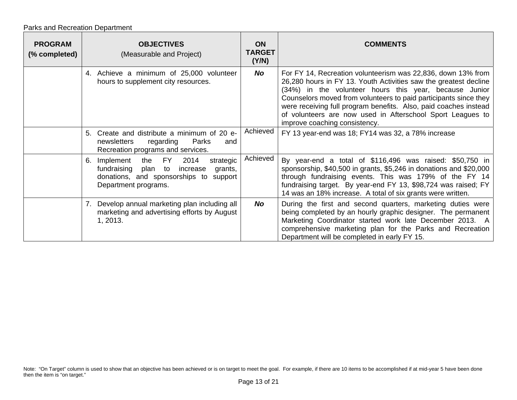Parks and Recreation Department

| <b>PROGRAM</b><br>(% completed) | <b>OBJECTIVES</b><br>(Measurable and Project)                                                                                                            | <b>ON</b><br><b>TARGET</b><br>(Y/N) | <b>COMMENTS</b>                                                                                                                                                                                                                                                                                                                                                                                                                   |
|---------------------------------|----------------------------------------------------------------------------------------------------------------------------------------------------------|-------------------------------------|-----------------------------------------------------------------------------------------------------------------------------------------------------------------------------------------------------------------------------------------------------------------------------------------------------------------------------------------------------------------------------------------------------------------------------------|
|                                 | 4. Achieve a minimum of 25,000 volunteer<br>hours to supplement city resources.                                                                          | No                                  | For FY 14, Recreation volunteerism was 22,836, down 13% from<br>26,280 hours in FY 13. Youth Activities saw the greatest decline<br>(34%) in the volunteer hours this year, because Junior<br>Counselors moved from volunteers to paid participants since they<br>were receiving full program benefits. Also, paid coaches instead<br>of volunteers are now used in Afterschool Sport Leagues to<br>improve coaching consistency. |
|                                 | Create and distribute a minimum of 20 e-<br>5.<br>Parks<br>newsletters<br>regarding<br>and<br>Recreation programs and services.                          | Achieved                            | FY 13 year-end was 18; FY14 was 32, a 78% increase                                                                                                                                                                                                                                                                                                                                                                                |
|                                 | 2014<br>Implement the FY<br>strategic<br>6.<br>fundraising plan to increase<br>grants,<br>donations, and sponsorships to support<br>Department programs. | Achieved                            | By year-end a total of \$116,496 was raised: \$50,750 in<br>sponsorship, \$40,500 in grants, \$5,246 in donations and \$20,000<br>through fundraising events. This was 179% of the FY 14<br>fundraising target. By year-end FY 13, \$98,724 was raised; FY<br>14 was an 18% increase. A total of six grants were written.                                                                                                         |
|                                 | 7. Develop annual marketing plan including all<br>marketing and advertising efforts by August<br>1, 2013.                                                | <b>No</b>                           | During the first and second quarters, marketing duties were<br>being completed by an hourly graphic designer. The permanent<br>Marketing Coordinator started work late December 2013. A<br>comprehensive marketing plan for the Parks and Recreation<br>Department will be completed in early FY 15.                                                                                                                              |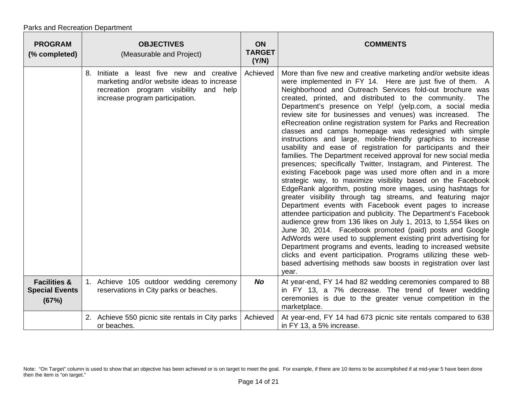| <b>PROGRAM</b><br>(% completed)                           | <b>OBJECTIVES</b><br>(Measurable and Project)                                                                                                                           | <b>ON</b><br><b>TARGET</b><br>(Y/N) | <b>COMMENTS</b>                                                                                                                                                                                                                                                                                                                                                                                                                                                                                                                                                                                                                                                                                                                                                                                                                                                                                                                                                                                                                                                                                                                                                                                                                                                                                                                                                                                                                                                                                                                                                                     |
|-----------------------------------------------------------|-------------------------------------------------------------------------------------------------------------------------------------------------------------------------|-------------------------------------|-------------------------------------------------------------------------------------------------------------------------------------------------------------------------------------------------------------------------------------------------------------------------------------------------------------------------------------------------------------------------------------------------------------------------------------------------------------------------------------------------------------------------------------------------------------------------------------------------------------------------------------------------------------------------------------------------------------------------------------------------------------------------------------------------------------------------------------------------------------------------------------------------------------------------------------------------------------------------------------------------------------------------------------------------------------------------------------------------------------------------------------------------------------------------------------------------------------------------------------------------------------------------------------------------------------------------------------------------------------------------------------------------------------------------------------------------------------------------------------------------------------------------------------------------------------------------------------|
|                                                           | 8. Initiate a least five new and creative<br>marketing and/or website ideas to increase<br>recreation program visibility<br>and help<br>increase program participation. | Achieved                            | More than five new and creative marketing and/or website ideas<br>were implemented in FY 14. Here are just five of them. A<br>Neighborhood and Outreach Services fold-out brochure was<br>created, printed, and distributed to the community.<br>The<br>Department's presence on Yelp! (yelp.com, a social media<br>review site for businesses and venues) was increased. The<br>eRecreation online registration system for Parks and Recreation<br>classes and camps homepage was redesigned with simple<br>instructions and large, mobile-friendly graphics to increase<br>usability and ease of registration for participants and their<br>families. The Department received approval for new social media<br>presences; specifically Twitter, Instagram, and Pinterest. The<br>existing Facebook page was used more often and in a more<br>strategic way, to maximize visibility based on the Facebook<br>EdgeRank algorithm, posting more images, using hashtags for<br>greater visibility through tag streams, and featuring major<br>Department events with Facebook event pages to increase<br>attendee participation and publicity. The Department's Facebook<br>audience grew from 136 likes on July 1, 2013, to 1,554 likes on<br>June 30, 2014. Facebook promoted (paid) posts and Google<br>AdWords were used to supplement existing print advertising for<br>Department programs and events, leading to increased website<br>clicks and event participation. Programs utilizing these web-<br>based advertising methods saw boosts in registration over last<br>year. |
| <b>Facilities &amp;</b><br><b>Special Events</b><br>(67%) | 1. Achieve 105 outdoor wedding ceremony<br>reservations in City parks or beaches.                                                                                       | <b>No</b>                           | At year-end, FY 14 had 82 wedding ceremonies compared to 88<br>in FY 13, a 7% decrease. The trend of fewer wedding<br>ceremonies is due to the greater venue competition in the<br>marketplace.                                                                                                                                                                                                                                                                                                                                                                                                                                                                                                                                                                                                                                                                                                                                                                                                                                                                                                                                                                                                                                                                                                                                                                                                                                                                                                                                                                                     |
|                                                           | 2. Achieve 550 picnic site rentals in City parks<br>or beaches.                                                                                                         | Achieved                            | At year-end, FY 14 had 673 picnic site rentals compared to 638<br>in FY 13, a 5% increase.                                                                                                                                                                                                                                                                                                                                                                                                                                                                                                                                                                                                                                                                                                                                                                                                                                                                                                                                                                                                                                                                                                                                                                                                                                                                                                                                                                                                                                                                                          |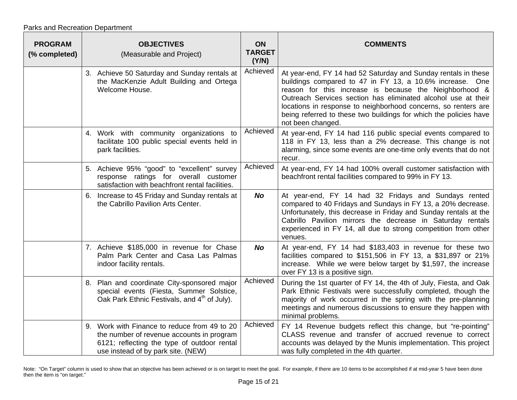Parks and Recreation Department

| <b>PROGRAM</b><br>(% completed) | <b>OBJECTIVES</b><br>(Measurable and Project)                                                                                                                                  | ON<br><b>TARGET</b><br>(Y/N) | <b>COMMENTS</b>                                                                                                                                                                                                                                                                                                                                                                                                   |
|---------------------------------|--------------------------------------------------------------------------------------------------------------------------------------------------------------------------------|------------------------------|-------------------------------------------------------------------------------------------------------------------------------------------------------------------------------------------------------------------------------------------------------------------------------------------------------------------------------------------------------------------------------------------------------------------|
|                                 | 3. Achieve 50 Saturday and Sunday rentals at<br>the MacKenzie Adult Building and Ortega<br>Welcome House.                                                                      | Achieved                     | At year-end, FY 14 had 52 Saturday and Sunday rentals in these<br>buildings compared to 47 in FY 13, a 10.6% increase. One<br>reason for this increase is because the Neighborhood &<br>Outreach Services section has eliminated alcohol use at their<br>locations in response to neighborhood concerns, so renters are<br>being referred to these two buildings for which the policies have<br>not been changed. |
|                                 | 4. Work with community organizations to<br>facilitate 100 public special events held in<br>park facilities.                                                                    | Achieved                     | At year-end, FY 14 had 116 public special events compared to<br>118 in FY 13, less than a 2% decrease. This change is not<br>alarming, since some events are one-time only events that do not<br>recur.                                                                                                                                                                                                           |
|                                 | 5. Achieve 95% "good" to "excellent" survey<br>response ratings for overall customer<br>satisfaction with beachfront rental facilities.                                        | Achieved                     | At year-end, FY 14 had 100% overall customer satisfaction with<br>beachfront rental facilities compared to 99% in FY 13.                                                                                                                                                                                                                                                                                          |
|                                 | 6. Increase to 45 Friday and Sunday rentals at<br>the Cabrillo Pavilion Arts Center.                                                                                           | <b>No</b>                    | At year-end, FY 14 had 32 Fridays and Sundays rented<br>compared to 40 Fridays and Sundays in FY 13, a 20% decrease.<br>Unfortunately, this decrease in Friday and Sunday rentals at the<br>Cabrillo Pavilion mirrors the decrease in Saturday rentals<br>experienced in FY 14, all due to strong competition from other<br>venues.                                                                               |
|                                 | 7. Achieve \$185,000 in revenue for Chase<br>Palm Park Center and Casa Las Palmas<br>indoor facility rentals.                                                                  | <b>No</b>                    | At year-end, FY 14 had \$183,403 in revenue for these two<br>facilities compared to \$151,506 in FY 13, a \$31,897 or 21%<br>increase. While we were below target by \$1,597, the increase<br>over FY 13 is a positive sign.                                                                                                                                                                                      |
|                                 | 8. Plan and coordinate City-sponsored major<br>special events (Fiesta, Summer Solstice,<br>Oak Park Ethnic Festivals, and 4 <sup>th</sup> of July).                            | Achieved                     | During the 1st quarter of FY 14, the 4th of July, Fiesta, and Oak<br>Park Ethnic Festivals were successfully completed, though the<br>majority of work occurred in the spring with the pre-planning<br>meetings and numerous discussions to ensure they happen with<br>minimal problems.                                                                                                                          |
|                                 | 9. Work with Finance to reduce from 49 to 20<br>the number of revenue accounts in program<br>6121; reflecting the type of outdoor rental<br>use instead of by park site. (NEW) | Achieved                     | FY 14 Revenue budgets reflect this change, but "re-pointing"<br>CLASS revenue and transfer of accrued revenue to correct<br>accounts was delayed by the Munis implementation. This project<br>was fully completed in the 4th quarter.                                                                                                                                                                             |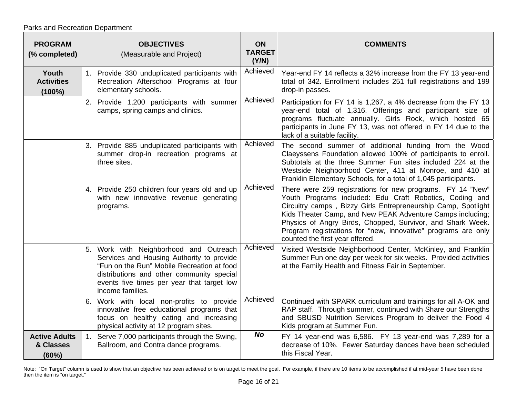| <b>PROGRAM</b><br>(% completed)            | <b>OBJECTIVES</b><br>(Measurable and Project)                                                                                                                                                                                                    | <b>ON</b><br><b>TARGET</b><br>(Y/N) | <b>COMMENTS</b>                                                                                                                                                                                                                                                                                                                                                                                                        |
|--------------------------------------------|--------------------------------------------------------------------------------------------------------------------------------------------------------------------------------------------------------------------------------------------------|-------------------------------------|------------------------------------------------------------------------------------------------------------------------------------------------------------------------------------------------------------------------------------------------------------------------------------------------------------------------------------------------------------------------------------------------------------------------|
| Youth<br><b>Activities</b><br>$(100\%)$    | 1. Provide 330 unduplicated participants with<br>Recreation Afterschool Programs at four<br>elementary schools.                                                                                                                                  | Achieved                            | Year-end FY 14 reflects a 32% increase from the FY 13 year-end<br>total of 342. Enrollment includes 251 full registrations and 199<br>drop-in passes.                                                                                                                                                                                                                                                                  |
|                                            | 2. Provide 1,200 participants with summer<br>camps, spring camps and clinics.                                                                                                                                                                    | Achieved                            | Participation for FY 14 is 1,267, a 4% decrease from the FY 13<br>year-end total of 1,316. Offerings and participant size of<br>programs fluctuate annually. Girls Rock, which hosted 65<br>participants in June FY 13, was not offered in FY 14 due to the<br>lack of a suitable facility.                                                                                                                            |
|                                            | 3. Provide 885 unduplicated participants with<br>summer drop-in recreation programs at<br>three sites.                                                                                                                                           | Achieved                            | The second summer of additional funding from the Wood<br>Claeyssens Foundation allowed 100% of participants to enroll.<br>Subtotals at the three Summer Fun sites included 224 at the<br>Westside Neighborhood Center, 411 at Monroe, and 410 at<br>Franklin Elementary Schools, for a total of 1,045 participants.                                                                                                    |
|                                            | 4. Provide 250 children four years old and up<br>with new innovative revenue generating<br>programs.                                                                                                                                             | Achieved                            | There were 259 registrations for new programs. FY 14 "New"<br>Youth Programs included: Edu Craft Robotics, Coding and<br>Circuitry camps, Bizzy Girls Entrepreneurship Camp, Spotlight<br>Kids Theater Camp, and New PEAK Adventure Camps including;<br>Physics of Angry Birds, Chopped, Survivor, and Shark Week.<br>Program registrations for "new, innovative" programs are only<br>counted the first year offered. |
|                                            | 5. Work with Neighborhood and Outreach<br>Services and Housing Authority to provide<br>"Fun on the Run" Mobile Recreation at food<br>distributions and other community special<br>events five times per year that target low<br>income families. | Achieved                            | Visited Westside Neighborhood Center, McKinley, and Franklin<br>Summer Fun one day per week for six weeks. Provided activities<br>at the Family Health and Fitness Fair in September.                                                                                                                                                                                                                                  |
|                                            | 6. Work with local non-profits to provide<br>innovative free educational programs that<br>focus on healthy eating and increasing<br>physical activity at 12 program sites.                                                                       | Achieved                            | Continued with SPARK curriculum and trainings for all A-OK and<br>RAP staff. Through summer, continued with Share our Strengths<br>and SBUSD Nutrition Services Program to deliver the Food 4<br>Kids program at Summer Fun.                                                                                                                                                                                           |
| <b>Active Adults</b><br>& Classes<br>(60%) | 1. Serve 7,000 participants through the Swing,<br>Ballroom, and Contra dance programs.                                                                                                                                                           | <b>No</b>                           | FY 14 year-end was 6,586. FY 13 year-end was 7,289 for a<br>decrease of 10%. Fewer Saturday dances have been scheduled<br>this Fiscal Year.                                                                                                                                                                                                                                                                            |

Note: "On Target" column is used to show that an objective has been achieved or is on target to meet the goal. For example, if there are 10 items to be accomplished if at mid-year 5 have been done then the item is "on target."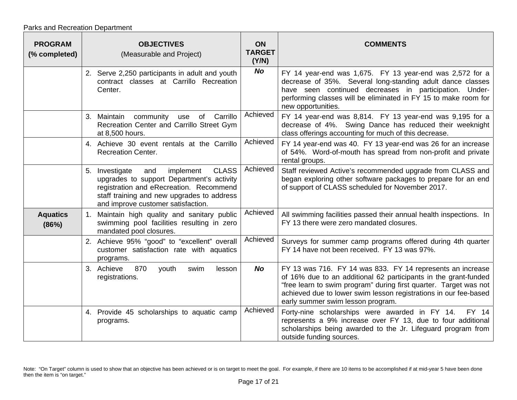| <b>PROGRAM</b><br>(% completed) | <b>OBJECTIVES</b><br>(Measurable and Project)                                                                                                                                                                                  | <b>ON</b><br><b>TARGET</b><br>(Y/N) | <b>COMMENTS</b>                                                                                                                                                                                                                                                                                             |
|---------------------------------|--------------------------------------------------------------------------------------------------------------------------------------------------------------------------------------------------------------------------------|-------------------------------------|-------------------------------------------------------------------------------------------------------------------------------------------------------------------------------------------------------------------------------------------------------------------------------------------------------------|
|                                 | 2. Serve 2,250 participants in adult and youth<br>contract classes at Carrillo Recreation<br>Center.                                                                                                                           | <b>No</b>                           | FY 14 year-end was 1,675. FY 13 year-end was 2,572 for a<br>decrease of 35%. Several long-standing adult dance classes<br>have seen continued decreases in participation. Under-<br>performing classes will be eliminated in FY 15 to make room for<br>new opportunities.                                   |
|                                 | Carrillo<br>3. Maintain community<br>of<br>use<br>Recreation Center and Carrillo Street Gym<br>at 8,500 hours.                                                                                                                 | Achieved                            | FY 14 year-end was 8,814. FY 13 year-end was 9,195 for a<br>decrease of 4%. Swing Dance has reduced their weeknight<br>class offerings accounting for much of this decrease.                                                                                                                                |
|                                 | 4. Achieve 30 event rentals at the Carrillo<br><b>Recreation Center.</b>                                                                                                                                                       | Achieved                            | FY 14 year-end was 40. FY 13 year-end was 26 for an increase<br>of 54%. Word-of-mouth has spread from non-profit and private<br>rental groups.                                                                                                                                                              |
|                                 | <b>CLASS</b><br>implement<br>5. Investigate<br>and<br>upgrades to support Department's activity<br>registration and eRecreation. Recommend<br>staff training and new upgrades to address<br>and improve customer satisfaction. | Achieved                            | Staff reviewed Active's recommended upgrade from CLASS and<br>began exploring other software packages to prepare for an end<br>of support of CLASS scheduled for November 2017.                                                                                                                             |
| <b>Aquatics</b><br>(86%)        | 1. Maintain high quality and sanitary public<br>swimming pool facilities resulting in zero<br>mandated pool closures.                                                                                                          | Achieved                            | All swimming facilities passed their annual health inspections. In<br>FY 13 there were zero mandated closures.                                                                                                                                                                                              |
|                                 | 2. Achieve 95% "good" to "excellent" overall<br>customer satisfaction rate with aquatics<br>programs.                                                                                                                          | Achieved                            | Surveys for summer camp programs offered during 4th quarter<br>FY 14 have not been received. FY 13 was 97%.                                                                                                                                                                                                 |
|                                 | 3. Achieve<br>870<br>youth<br>swim<br>lesson<br>registrations.                                                                                                                                                                 | No                                  | FY 13 was 716. FY 14 was 833. FY 14 represents an increase<br>of 16% due to an additional 62 participants in the grant-funded<br>"free learn to swim program" during first quarter. Target was not<br>achieved due to lower swim lesson registrations in our fee-based<br>early summer swim lesson program. |
|                                 | 4. Provide 45 scholarships to aquatic camp<br>programs.                                                                                                                                                                        | Achieved                            | Forty-nine scholarships were awarded in FY 14.<br>FY 14<br>represents a 9% increase over FY 13, due to four additional<br>scholarships being awarded to the Jr. Lifeguard program from<br>outside funding sources.                                                                                          |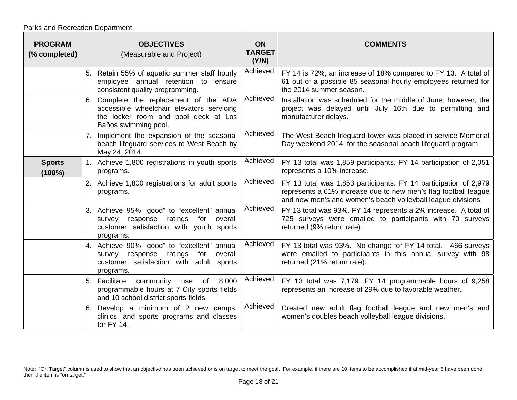| <b>PROGRAM</b><br>(% completed) | <b>OBJECTIVES</b><br>(Measurable and Project)                                                                                                          | <b>ON</b><br><b>TARGET</b><br>(Y/N) | <b>COMMENTS</b>                                                                                                                                                                                     |
|---------------------------------|--------------------------------------------------------------------------------------------------------------------------------------------------------|-------------------------------------|-----------------------------------------------------------------------------------------------------------------------------------------------------------------------------------------------------|
|                                 | 5. Retain 55% of aquatic summer staff hourly<br>employee annual retention to ensure<br>consistent quality programming.                                 | Achieved                            | FY 14 is 72%; an increase of 18% compared to FY 13. A total of<br>61 out of a possible 85 seasonal hourly employees returned for<br>the 2014 summer season.                                         |
|                                 | 6. Complete the replacement of the ADA<br>accessible wheelchair elevators servicing<br>the locker room and pool deck at Los<br>Baños swimming pool.    | Achieved                            | Installation was scheduled for the middle of June; however, the<br>project was delayed until July 16th due to permitting and<br>manufacturer delays.                                                |
|                                 | Implement the expansion of the seasonal<br>7.<br>beach lifeguard services to West Beach by<br>May 24, 2014.                                            | Achieved                            | The West Beach lifeguard tower was placed in service Memorial<br>Day weekend 2014, for the seasonal beach lifeguard program                                                                         |
| <b>Sports</b><br>$(100\%)$      | 1. Achieve 1,800 registrations in youth sports<br>programs.                                                                                            | Achieved                            | FY 13 total was 1,859 participants. FY 14 participation of 2,051<br>represents a 10% increase.                                                                                                      |
|                                 | 2. Achieve 1,800 registrations for adult sports<br>programs.                                                                                           | Achieved                            | FY 13 total was 1,853 participants. FY 14 participation of 2,979<br>represents a 61% increase due to new men's flag football league<br>and new men's and women's beach volleyball league divisions. |
|                                 | 3. Achieve 95% "good" to "excellent" annual<br>response ratings<br>for<br>overall<br>survey<br>customer satisfaction with youth sports<br>programs.    | Achieved                            | FY 13 total was 93%. FY 14 represents a 2% increase. A total of<br>725 surveys were emailed to participants with 70 surveys<br>returned (9% return rate).                                           |
|                                 | 4. Achieve 90% "good" to "excellent" annual<br>ratings<br>response<br>for<br>overall<br>survey<br>customer satisfaction with adult sports<br>programs. | Achieved                            | FY 13 total was 93%. No change for FY 14 total. 466 surveys<br>were emailed to participants in this annual survey with 98<br>returned (21% return rate).                                            |
|                                 | 8,000<br>5. Facilitate<br>of<br>community<br>use<br>programmable hours at 7 City sports fields<br>and 10 school district sports fields.                | Achieved                            | FY 13 total was 7,179. FY 14 programmable hours of 9,258<br>represents an increase of 29% due to favorable weather.                                                                                 |
|                                 | 6. Develop a minimum of 2 new camps,<br>clinics, and sports programs and classes<br>for FY 14.                                                         | Achieved                            | Created new adult flag football league and new men's and<br>women's doubles beach volleyball league divisions.                                                                                      |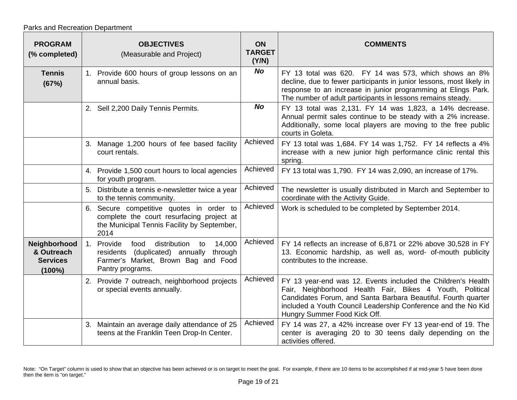| <b>PROGRAM</b><br>(% completed)                            |    | <b>OBJECTIVES</b><br>(Measurable and Project)                                                                                                            | <b>ON</b><br><b>TARGET</b><br>(Y/N) | <b>COMMENTS</b>                                                                                                                                                                                                                                                                            |
|------------------------------------------------------------|----|----------------------------------------------------------------------------------------------------------------------------------------------------------|-------------------------------------|--------------------------------------------------------------------------------------------------------------------------------------------------------------------------------------------------------------------------------------------------------------------------------------------|
| <b>Tennis</b><br>(67%)                                     |    | 1. Provide 600 hours of group lessons on an<br>annual basis.                                                                                             | <b>No</b>                           | FY 13 total was 620. FY 14 was 573, which shows an 8%<br>decline, due to fewer participants in junior lessons, most likely in<br>response to an increase in junior programming at Elings Park.<br>The number of adult participants in lessons remains steady.                              |
|                                                            |    | 2. Sell 2,200 Daily Tennis Permits.                                                                                                                      | <b>No</b>                           | FY 13 total was 2,131. FY 14 was 1,823, a 14% decrease.<br>Annual permit sales continue to be steady with a 2% increase.<br>Additionally, some local players are moving to the free public<br>courts in Goleta.                                                                            |
|                                                            |    | 3. Manage 1,200 hours of fee based facility<br>court rentals.                                                                                            | Achieved                            | FY 13 total was 1,684. FY 14 was 1,752. FY 14 reflects a 4%<br>increase with a new junior high performance clinic rental this<br>spring.                                                                                                                                                   |
|                                                            |    | 4. Provide 1,500 court hours to local agencies<br>for youth program.                                                                                     | Achieved                            | FY 13 total was 1,790. FY 14 was 2,090, an increase of 17%.                                                                                                                                                                                                                                |
|                                                            |    | Distribute a tennis e-newsletter twice a year<br>to the tennis community.                                                                                | Achieved                            | The newsletter is usually distributed in March and September to<br>coordinate with the Activity Guide.                                                                                                                                                                                     |
|                                                            |    | 6. Secure competitive quotes in order to<br>complete the court resurfacing project at<br>the Municipal Tennis Facility by September,<br>2014             | Achieved                            | Work is scheduled to be completed by September 2014.                                                                                                                                                                                                                                       |
| Neighborhood<br>& Outreach<br><b>Services</b><br>$(100\%)$ | 1. | 14,000<br>Provide<br>distribution<br>food<br>to<br>residents (duplicated) annually<br>through<br>Farmer's Market, Brown Bag and Food<br>Pantry programs. | Achieved                            | FY 14 reflects an increase of 6,871 or 22% above 30,528 in FY<br>13. Economic hardship, as well as, word- of-mouth publicity<br>contributes to the increase.                                                                                                                               |
|                                                            |    | 2. Provide 7 outreach, neighborhood projects<br>or special events annually.                                                                              | Achieved                            | FY 13 year-end was 12. Events included the Children's Health<br>Fair, Neighborhood Health Fair, Bikes 4 Youth, Political<br>Candidates Forum, and Santa Barbara Beautiful. Fourth quarter<br>included a Youth Council Leadership Conference and the No Kid<br>Hungry Summer Food Kick Off. |
|                                                            |    | 3. Maintain an average daily attendance of 25<br>teens at the Franklin Teen Drop-In Center.                                                              | Achieved                            | FY 14 was 27, a 42% increase over FY 13 year-end of 19. The<br>center is averaging 20 to 30 teens daily depending on the<br>activities offered.                                                                                                                                            |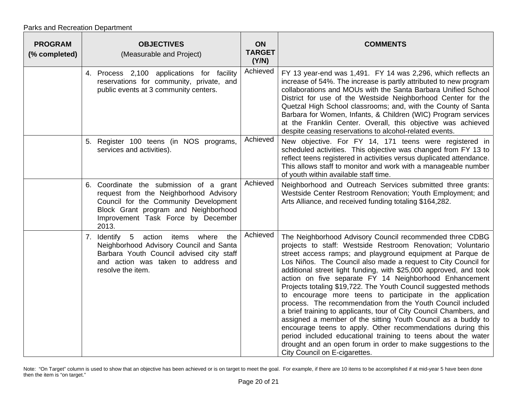| <b>PROGRAM</b><br>(% completed) | <b>OBJECTIVES</b><br>(Measurable and Project)                                                                                                                                                                     | ON<br><b>TARGET</b><br>(Y/N) | <b>COMMENTS</b>                                                                                                                                                                                                                                                                                                                                                                                                                                                                                                                                                                                                                                                                                                                                                                                                                                                                                                                                               |
|---------------------------------|-------------------------------------------------------------------------------------------------------------------------------------------------------------------------------------------------------------------|------------------------------|---------------------------------------------------------------------------------------------------------------------------------------------------------------------------------------------------------------------------------------------------------------------------------------------------------------------------------------------------------------------------------------------------------------------------------------------------------------------------------------------------------------------------------------------------------------------------------------------------------------------------------------------------------------------------------------------------------------------------------------------------------------------------------------------------------------------------------------------------------------------------------------------------------------------------------------------------------------|
|                                 | 4. Process 2,100 applications for facility<br>reservations for community, private, and<br>public events at 3 community centers.                                                                                   | Achieved                     | FY 13 year-end was 1,491. FY 14 was 2,296, which reflects an<br>increase of 54%. The increase is partly attributed to new program<br>collaborations and MOUs with the Santa Barbara Unified School<br>District for use of the Westside Neighborhood Center for the<br>Quetzal High School classrooms; and, with the County of Santa<br>Barbara for Women, Infants, & Children (WIC) Program services<br>at the Franklin Center. Overall, this objective was achieved<br>despite ceasing reservations to alcohol-related events.                                                                                                                                                                                                                                                                                                                                                                                                                               |
|                                 | 5. Register 100 teens (in NOS programs,<br>services and activities).                                                                                                                                              | Achieved                     | New objective. For FY 14, 171 teens were registered in<br>scheduled activities. This objective was changed from FY 13 to<br>reflect teens registered in activities versus duplicated attendance.<br>This allows staff to monitor and work with a manageable number<br>of youth within available staff time.                                                                                                                                                                                                                                                                                                                                                                                                                                                                                                                                                                                                                                                   |
|                                 | 6. Coordinate the submission of a grant<br>request from the Neighborhood Advisory<br>Council for the Community Development<br>Block Grant program and Neighborhood<br>Improvement Task Force by December<br>2013. | Achieved                     | Neighborhood and Outreach Services submitted three grants:<br>Westside Center Restroom Renovation; Youth Employment; and<br>Arts Alliance, and received funding totaling \$164,282.                                                                                                                                                                                                                                                                                                                                                                                                                                                                                                                                                                                                                                                                                                                                                                           |
|                                 | 7. Identify<br>5 action items where<br>Neighborhood Advisory Council and Santa<br>Barbara Youth Council advised city staff<br>and action was taken to address and<br>resolve the item.                            | Achieved<br>the              | The Neighborhood Advisory Council recommended three CDBG<br>projects to staff: Westside Restroom Renovation; Voluntario<br>street access ramps; and playground equipment at Parque de<br>Los Niños. The Council also made a request to City Council for<br>additional street light funding, with \$25,000 approved, and took<br>action on five separate FY 14 Neighborhood Enhancement<br>Projects totaling \$19,722. The Youth Council suggested methods<br>to encourage more teens to participate in the application<br>process. The recommendation from the Youth Council included<br>a brief training to applicants, tour of City Council Chambers, and<br>assigned a member of the sitting Youth Council as a buddy to<br>encourage teens to apply. Other recommendations during this<br>period included educational training to teens about the water<br>drought and an open forum in order to make suggestions to the<br>City Council on E-cigarettes. |